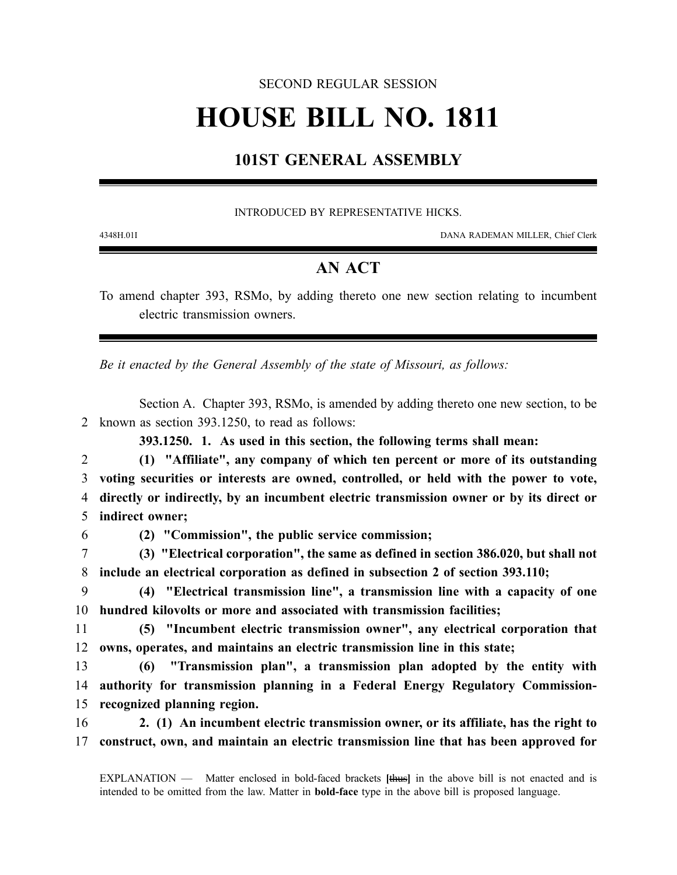#### SECOND REGULAR SESSION

# **HOUSE BILL NO. 1811**

## **101ST GENERAL ASSEMBLY**

#### INTRODUCED BY REPRESENTATIVE HICKS.

4348H.01I DANA RADEMAN MILLER, Chief Clerk

### **AN ACT**

To amend chapter 393, RSMo, by adding thereto one new section relating to incumbent electric transmission owners.

*Be it enacted by the General Assembly of the state of Missouri, as follows:*

Section A. Chapter 393, RSMo, is amended by adding thereto one new section, to be 2 known as section 393.1250, to read as follows:

**393.1250. 1. As used in this section, the following terms shall mean:**

 **(1) "Affiliate", any company of which ten percent or more of its outstanding voting securities or interests are owned, controlled, or held with the power to vote, directly or indirectly, by an incumbent electric transmission owner or by its direct or indirect owner;**

6 **(2) "Commission", the public service commission;**

7 **(3) "Electrical corporation", the same as defined in section 386.020, but shall not** 8 **include an electrical corporation as defined in subsection 2 of section 393.110;**

9 **(4) "Electrical transmission line", a transmission line with a capacity of one** 10 **hundred kilovolts or more and associated with transmission facilities;**

11 **(5) "Incumbent electric transmission owner", any electrical corporation that** 12 **owns, operates, and maintains an electric transmission line in this state;**

13 **(6) "Transmission plan", a transmission plan adopted by the entity with** 14 **authority for transmission planning in a Federal Energy Regulatory Commission-**15 **recognized planning region.**

16 **2. (1) An incumbent electric transmission owner, or its affiliate, has the right to** 17 **construct, own, and maintain an electric transmission line that has been approved for**